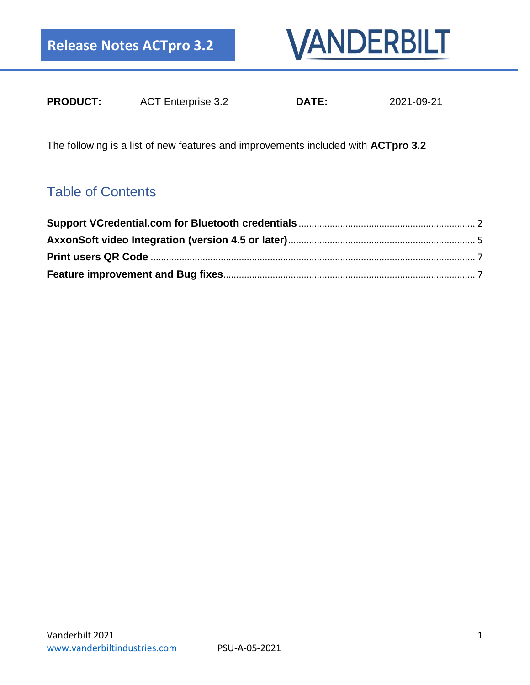

| <b>PRODUCT:</b> | <b>ACT Enterprise 3.2</b> | <b>DATE:</b> | 2021-09-21 |
|-----------------|---------------------------|--------------|------------|
|                 |                           |              |            |

The following is a list of new features and improvements included with **ACTpro 3.2**

### Table of Contents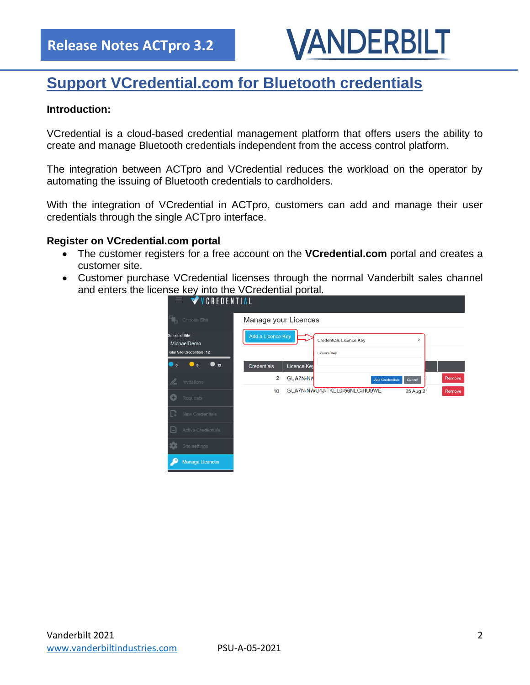# VANDERBILT

# <span id="page-1-0"></span>**Support VCredential.com for Bluetooth credentials**

### **Introduction:**

VCredential is a cloud-based credential management platform that offers users the ability to create and manage Bluetooth credentials independent from the access control platform.

The integration between ACTpro and VCredential reduces the workload on the operator by automating the issuing of Bluetooth credentials to cardholders.

With the integration of VCredential in ACTpro, customers can add and manage their user credentials through the single ACTpro interface.

### **Register on VCredential.com portal**

- The customer registers for a free account on the **VCredential.com** portal and creates a customer site.
- Customer purchase VCredential licenses through the normal Vanderbilt sales channel and enters the license key into the VCredential portal.

| $\equiv$ <b><math>\sqrt{\ }</math></b> VCREDENTIAL                 |                      |             |                                         |                        |           |        |
|--------------------------------------------------------------------|----------------------|-------------|-----------------------------------------|------------------------|-----------|--------|
| Choose Site                                                        | Manage your Licences |             |                                         |                        |           |        |
| Selected Site:<br>MichaelDemo<br><b>Total Site Credentials: 12</b> | Add a Licence Key    |             | Credentials Licence Key<br>Licence Key: |                        | ×         |        |
| 12<br>$\mathbf{0}$                                                 | <b>Credentials</b>   | Licence Key |                                         |                        |           |        |
| Invitations<br>I                                                   | $\overline{2}$       | GUA7N-NW    |                                         | <b>Add Credentials</b> | Cancel    | Remove |
| G<br>Requests                                                      | 10                   |             | GUA7N-NWU4J-TKEL0-56NLC-HU9WE           |                        | 25 Aug 21 | Remove |
| New Credentials<br>L3                                              |                      |             |                                         |                        |           |        |
| <b>Active Credentials</b><br>E                                     |                      |             |                                         |                        |           |        |
| to.<br>Site settings                                               |                      |             |                                         |                        |           |        |
| <b>Manage Licences</b>                                             |                      |             |                                         |                        |           |        |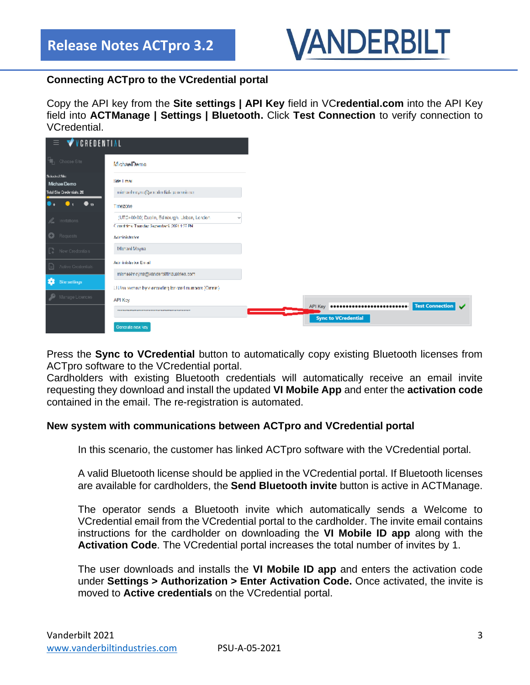

### **Connecting ACTpro to the VCredential portal**

Copy the API key from the **Site settings | API Key** field in VC**redential.com** into the API Key field into **ACTManage | Settings | Bluetooth.** Click **Test Connection** to verify connection to VCredential.

| VCREDENTIAL<br>$\equiv$      |                                                                                                                       |                            |                 |
|------------------------------|-----------------------------------------------------------------------------------------------------------------------|----------------------------|-----------------|
| <b>Fig.</b> Choose Site      | MichaelDemo                                                                                                           |                            |                 |
| Scholad Sile:<br>MichaelDemo | Side Limar                                                                                                            |                            |                 |
| Tutal Site Credentials, 20   | michaelmoyna@werdenfial- prominese                                                                                    |                            |                 |
| $\bullet$ 19                 | Timezone                                                                                                              |                            |                 |
| L invitations                | (UTC+00:00) Dualin, Edinburgh, Lisbon, London.<br>$\mathcal{F}$<br>Current firms: Thursday, September 9, 2021 1:27 PM |                            |                 |
| <b>O</b> Requests            | Adminishator                                                                                                          |                            |                 |
| $\Box$ New Credentials       | Michael Moyna                                                                                                         |                            |                 |
| $\Box$ Active Credentials    | Administrator Email                                                                                                   |                            |                 |
|                              | michaelmoyna@yanderbiltindustries.com                                                                                 |                            |                 |
| Sile settings                | Littlen revense by is encoding for card numbers (Omnis).                                                              |                            |                 |
| Manage Licences              | API Key                                                                                                               |                            |                 |
|                              |                                                                                                                       |                            | Test Connection |
|                              | Generate new key                                                                                                      | <b>Sync to VCredential</b> |                 |

Press the **Sync to VCredential** button to automatically copy existing Bluetooth licenses from ACTpro software to the VCredential portal.

Cardholders with existing Bluetooth credentials will automatically receive an email invite requesting they download and install the updated **VI Mobile App** and enter the **activation code** contained in the email. The re-registration is automated.

### **New system with communications between ACTpro and VCredential portal**

In this scenario, the customer has linked ACTpro software with the VCredential portal.

A valid Bluetooth license should be applied in the VCredential portal. If Bluetooth licenses are available for cardholders, the **Send Bluetooth invite** button is active in ACTManage.

The operator sends a Bluetooth invite which automatically sends a Welcome to VCredential email from the VCredential portal to the cardholder. The invite email contains instructions for the cardholder on downloading the **VI Mobile ID app** along with the **Activation Code**. The VCredential portal increases the total number of invites by 1.

The user downloads and installs the **VI Mobile ID app** and enters the activation code under **Settings > Authorization > Enter Activation Code.** Once activated, the invite is moved to **Active credentials** on the VCredential portal.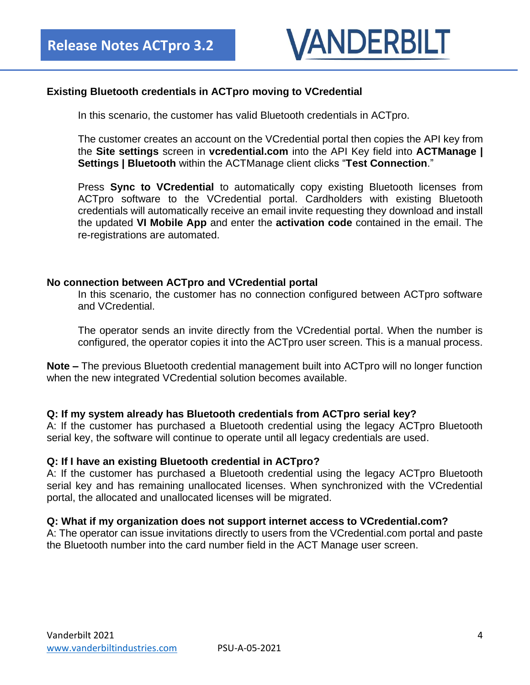

### **Existing Bluetooth credentials in ACTpro moving to VCredential**

In this scenario, the customer has valid Bluetooth credentials in ACTpro.

The customer creates an account on the VCredential portal then copies the API key from the **Site settings** screen in **vcredential.com** into the API Key field into **ACTManage | Settings | Bluetooth** within the ACTManage client clicks "**Test Connection**."

Press **Sync to VCredential** to automatically copy existing Bluetooth licenses from ACTpro software to the VCredential portal. Cardholders with existing Bluetooth credentials will automatically receive an email invite requesting they download and install the updated **VI Mobile App** and enter the **activation code** contained in the email. The re-registrations are automated.

### **No connection between ACTpro and VCredential portal**

In this scenario, the customer has no connection configured between ACTpro software and VCredential.

The operator sends an invite directly from the VCredential portal. When the number is configured, the operator copies it into the ACTpro user screen. This is a manual process.

**Note –** The previous Bluetooth credential management built into ACTpro will no longer function when the new integrated VCredential solution becomes available.

### **Q: If my system already has Bluetooth credentials from ACTpro serial key?**

A: If the customer has purchased a Bluetooth credential using the legacy ACTpro Bluetooth serial key, the software will continue to operate until all legacy credentials are used.

### **Q: If I have an existing Bluetooth credential in ACTpro?**

A: If the customer has purchased a Bluetooth credential using the legacy ACTpro Bluetooth serial key and has remaining unallocated licenses. When synchronized with the VCredential portal, the allocated and unallocated licenses will be migrated.

### **Q: What if my organization does not support internet access to VCredential.com?**

A: The operator can issue invitations directly to users from the VCredential.com portal and paste the Bluetooth number into the card number field in the ACT Manage user screen.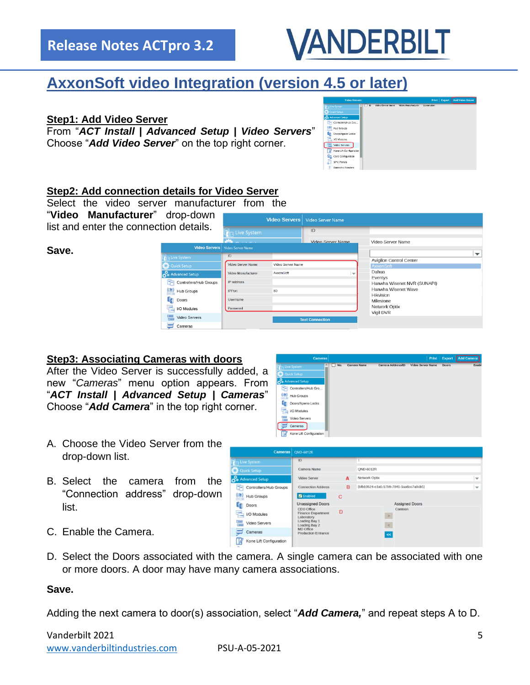### **Release Notes ACTpro 3.2**



# <span id="page-4-0"></span>**AxxonSoft video Integration (version 4.5 or later)**

### **Step1: Add Video Server**

From "*ACT Install | Advanced Setup | Video Servers*" Choose "*Add Video Server*" on the top right corner.

|                               |                |                          |                           |            | <b>CONTRACT COMPANY</b> | <b>I have already stations</b> |
|-------------------------------|----------------|--------------------------|---------------------------|------------|-------------------------|--------------------------------|
| a Live System                 | $\overline{D}$ | <b>Video Server Name</b> | <b>Video Manufacturer</b> | Connection |                         |                                |
| <b>Quick Setup</b>            |                |                          |                           |            |                         |                                |
| <b>Po</b> Advanced Setup      |                |                          |                           |            |                         |                                |
| Controllers/Hub Gro           |                |                          |                           |            |                         |                                |
| $\overline{12}$<br>Hub Groups |                |                          |                           |            |                         |                                |
| Docra/Aperio Locks            |                |                          |                           |            |                         |                                |
| VO Modules                    |                |                          |                           |            |                         |                                |
| 꽲<br>Video Servers            |                |                          |                           |            |                         |                                |
| Kone Lift Configuration       |                |                          |                           |            |                         |                                |
| Card Configuration            |                |                          |                           |            |                         |                                |
| æ<br><b>SPC Panels</b>        |                |                          |                           |            |                         |                                |
| G<br><b>Biometric Readers</b> |                |                          |                           |            |                         |                                |
|                               |                |                          |                           |            |                         |                                |

### **Step2: Add connection details for Video Server**

Select the video server manufacturer from the "**Video Manufacturer**" drop-down list and enter the connection details.



### **Step3: Associating Cameras with doors**

After the Video Server is successfully added, a new "*Cameras*" menu option appears. From "*ACT Install | Advanced Setup | Cameras*" Choose "*Add Camera*" in the top right corner.

- Controllers/Hub Gro. (O) Hub Groups **Doors/Aperio Locks** VO Modules Video Servers  $\sum$  Cameras Kone Lift Configura ГØ
- A. Choose the Video Server from the drop-down list.
- B. Select the camera from the "Connection address" drop-down list.



- C. Enable the Camera.
- D. Select the Doors associated with the camera. A single camera can be associated with one or more doors. A door may have many camera associations.

### **Save.**

Adding the next camera to door(s) association, select "*Add Camera,*" and repeat steps A to D.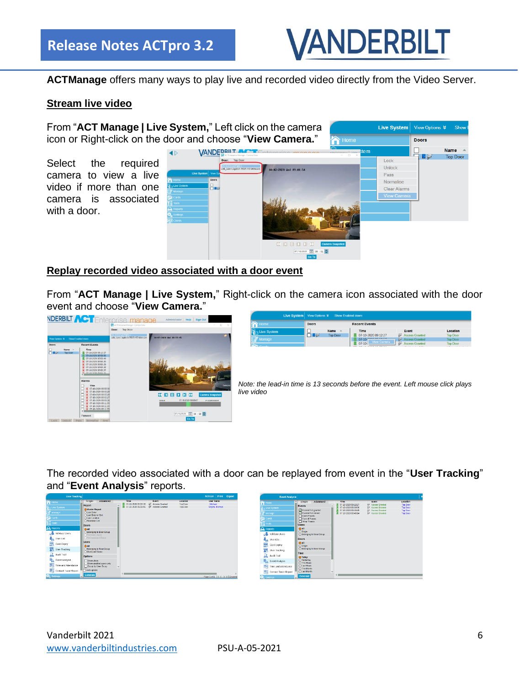

**ACTManage** offers many ways to play live and recorded video directly from the Video Server.

### **Stream live video**

From "**ACT Manage | Live System,**" Left click on the camera Live System View Options  $\blacktriangleright$  Show icon or Right-click on the door and choose "**View Camera.**" Doors  $\bigcap$  Home **VANDEDRUT Name** na Top Door Select the required Lock Unlock camera to view a live Pass Normalise video if more than one Clear Alarms camera is associated with a door.

### **Replay recorded video associated with a door event**

From "**ACT Manage | Live System,**" Right-click on the camera icon associated with the door event and choose "**View Camera.**"



The recorded video associated with a door can be replayed from event in the "**User Tracking**" and "**Event Analysis**" reports.

| <b>User Tracking</b>      |                                                              |                                              |                                  |                      | Refresh Print Export                |                      |
|---------------------------|--------------------------------------------------------------|----------------------------------------------|----------------------------------|----------------------|-------------------------------------|----------------------|
| <b>M</b> Home             | Advanced<br>Smple                                            | Time                                         | Event                            | Location             | <b>User Name</b>                    | n<br>Horno           |
| <b>The System</b>         | Report                                                       | 07-10-2020 09:28:39<br>图 07-10-2020 09:28:46 | Access Granted<br>Access Granted | Top Door<br>Top Door | Mchael<br>Novna, Michael            | R Live 5)            |
| ₹ Manage                  | <b>O</b> Muster Report<br>O Last Entry                       |                                              |                                  |                      |                                     | P⁄ Manag             |
|                           | O Last Erray or Exit                                         |                                              |                                  |                      |                                     |                      |
| <b>Cards</b>              | Obset Location<br>C) Absence List                            |                                              |                                  |                      |                                     | <b>Cards</b>         |
| <b>THE TOOIS</b>          | Doors                                                        |                                              |                                  |                      |                                     | Tools                |
| $\mathbf{a}$ Reports      | <b>DAIL</b>                                                  |                                              |                                  |                      |                                     | <b>A</b> Report      |
| Validate Users            | <b>O Belonging to Door Group</b><br>)Perimeter doors         |                                              |                                  |                      |                                     | ஃ                    |
| <b>User List</b>          | Arti-construct Doors                                         |                                              |                                  |                      |                                     | l <mark>i⊾</mark> ∪s |
| 듮<br>Card Expry           | <b>Users</b>                                                 |                                              |                                  |                      |                                     | 룷                    |
| <b>User Tracking</b>      | 0AII<br>O Belonging to User Group<br><b>OMonitored Ussex</b> |                                              |                                  |                      |                                     | 靏                    |
| д<br>Audit Trail          | Options                                                      |                                              |                                  |                      |                                     | R Au                 |
| ũ.<br>Event Analysis      | Show photo                                                   |                                              |                                  |                      |                                     | 马 Ev                 |
| 驟<br>Time and Attendance  | Show enabled users only<br>Group by User Group               |                                              |                                  |                      |                                     | Th                   |
| 翻<br>Contact Trace Report | Auto update                                                  |                                              |                                  |                      |                                     | 28 Co                |
| <b>RE</b> , Settings      | Generate                                                     |                                              |                                  |                      | Page 1 of 1   4   4   2   2   sers) | <b>KK</b> , Setting  |

| <b>Event Analysis</b>     |                                          |                                  |  |                                            |                                       |                             |  |
|---------------------------|------------------------------------------|----------------------------------|--|--------------------------------------------|---------------------------------------|-----------------------------|--|
| Horne                     | Simple<br>Events                         | Advanced                         |  | Time<br>07-10 2020 09:12:27                | Event<br><sup>63</sup> Access Granted | Location<br><b>Tep Door</b> |  |
| Live System               |                                          |                                  |  | 07:10 2020 08:58:56                        | <b>49 Access Granted</b>              | <b>Tep Door</b>             |  |
| Manage                    | Access/Fill gramed<br>Access Fait denied |                                  |  | 07:10 2020 08:58:49<br>07-10-2020 08:48:14 | 49 Access Granted<br>Access Granted   | <b>Teo Door</b><br>Top Door |  |
|                           | Alarm Eyents                             |                                  |  |                                            |                                       |                             |  |
| <b>Cards</b>              | Control Fweets                           |                                  |  |                                            |                                       |                             |  |
| Tools.                    | Other Events                             |                                  |  |                                            |                                       |                             |  |
|                           | <b>Users</b>                             |                                  |  |                                            |                                       |                             |  |
| <b>A</b> Reports          | GAIL                                     |                                  |  |                                            |                                       |                             |  |
| Validate Users            | OSnge                                    | <b>O Belonging to User Group</b> |  |                                            |                                       |                             |  |
| User List                 | Doore                                    |                                  |  |                                            |                                       |                             |  |
| Card Expiry               | CAIL<br>OSingle                          | O Belonging to Door Group        |  |                                            |                                       |                             |  |
| <b>User Tracking</b>      |                                          |                                  |  |                                            |                                       |                             |  |
| B<br>Audit Trail          | Time                                     |                                  |  |                                            |                                       |                             |  |
|                           | <b>O</b> Today                           |                                  |  |                                            |                                       |                             |  |
| Event Analysis<br>৴       | O'Yesterday<br><b>OThis Week</b>         |                                  |  |                                            |                                       |                             |  |
| 鸜<br>Time and Attendance  | <b>Ollast Week</b><br>O This Month       |                                  |  |                                            |                                       |                             |  |
| 豒<br>Contact Trace Report | Olast Month                              |                                  |  |                                            |                                       |                             |  |
| <b>E.</b> Settings        | Generate                                 |                                  |  |                                            |                                       |                             |  |